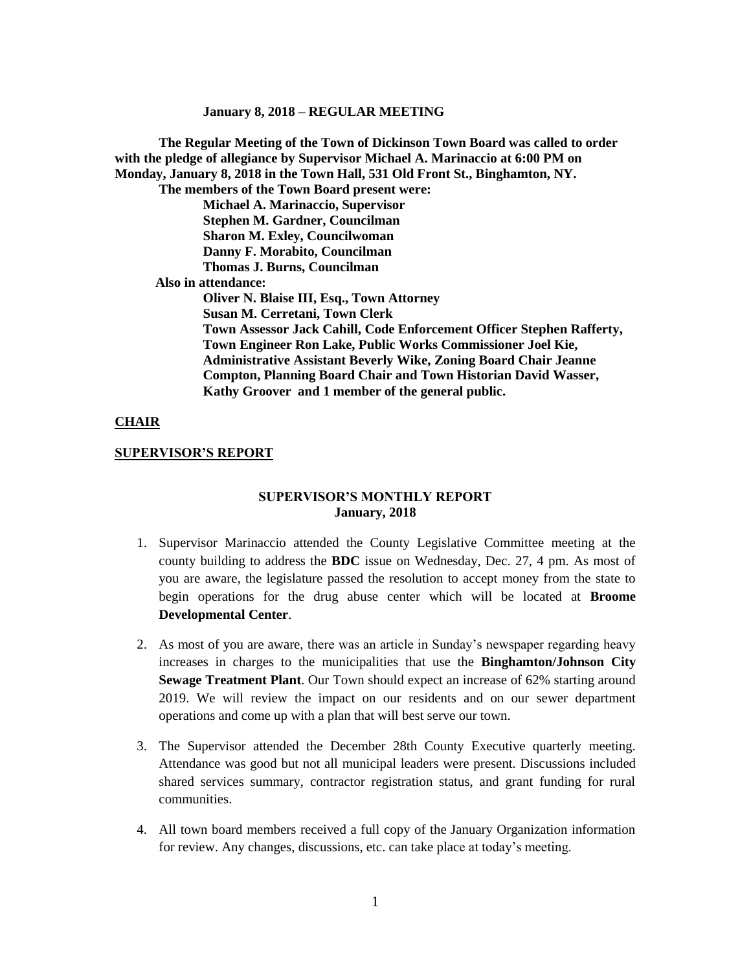**The Regular Meeting of the Town of Dickinson Town Board was called to order with the pledge of allegiance by Supervisor Michael A. Marinaccio at 6:00 PM on Monday, January 8, 2018 in the Town Hall, 531 Old Front St., Binghamton, NY. The members of the Town Board present were: Michael A. Marinaccio, Supervisor Stephen M. Gardner, Councilman Sharon M. Exley, Councilwoman Danny F. Morabito, Councilman Thomas J. Burns, Councilman Also in attendance: Oliver N. Blaise III, Esq., Town Attorney Susan M. Cerretani, Town Clerk Town Assessor Jack Cahill, Code Enforcement Officer Stephen Rafferty, Town Engineer Ron Lake, Public Works Commissioner Joel Kie, Administrative Assistant Beverly Wike, Zoning Board Chair Jeanne Compton, Planning Board Chair and Town Historian David Wasser, Kathy Groover and 1 member of the general public.**

### **CHAIR**

### **SUPERVISOR'S REPORT**

## **SUPERVISOR'S MONTHLY REPORT January, 2018**

- 1. Supervisor Marinaccio attended the County Legislative Committee meeting at the county building to address the **BDC** issue on Wednesday, Dec. 27, 4 pm. As most of you are aware, the legislature passed the resolution to accept money from the state to begin operations for the drug abuse center which will be located at **Broome Developmental Center**.
- 2. As most of you are aware, there was an article in Sunday's newspaper regarding heavy increases in charges to the municipalities that use the **Binghamton/Johnson City Sewage Treatment Plant**. Our Town should expect an increase of 62% starting around 2019. We will review the impact on our residents and on our sewer department operations and come up with a plan that will best serve our town.
- 3. The Supervisor attended the December 28th County Executive quarterly meeting. Attendance was good but not all municipal leaders were present. Discussions included shared services summary, contractor registration status, and grant funding for rural communities.
- 4. All town board members received a full copy of the January Organization information for review. Any changes, discussions, etc. can take place at today's meeting.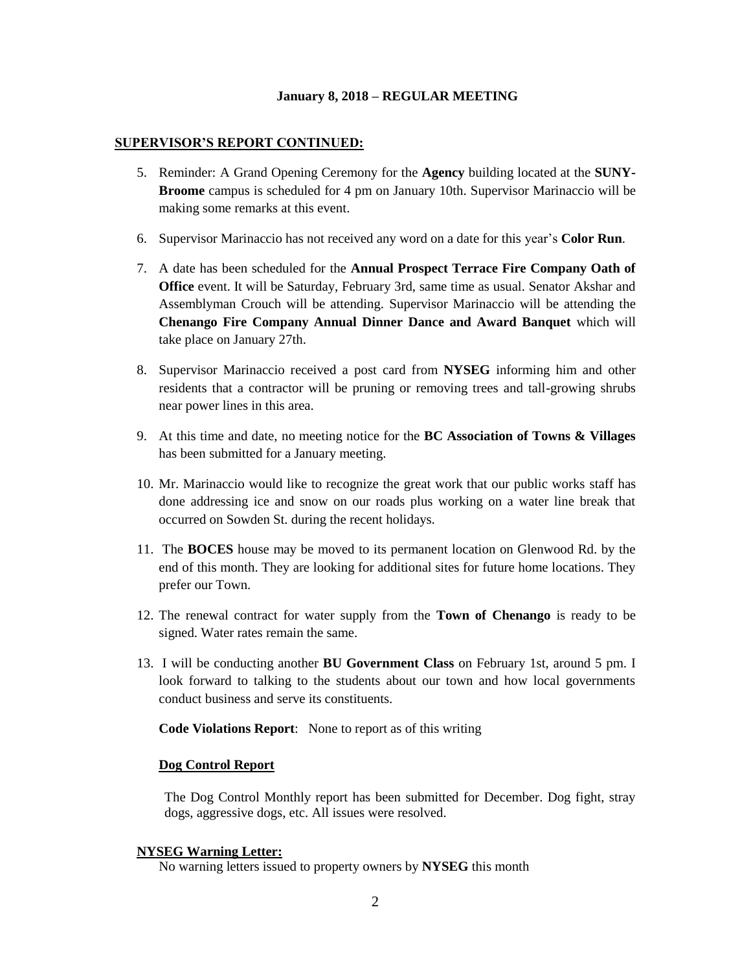### **SUPERVISOR'S REPORT CONTINUED:**

- 5. Reminder: A Grand Opening Ceremony for the **Agency** building located at the **SUNY-Broome** campus is scheduled for 4 pm on January 10th. Supervisor Marinaccio will be making some remarks at this event.
- 6. Supervisor Marinaccio has not received any word on a date for this year's **Color Run**.
- 7. A date has been scheduled for the **Annual Prospect Terrace Fire Company Oath of Office** event. It will be Saturday, February 3rd, same time as usual. Senator Akshar and Assemblyman Crouch will be attending. Supervisor Marinaccio will be attending the **Chenango Fire Company Annual Dinner Dance and Award Banquet** which will take place on January 27th.
- 8. Supervisor Marinaccio received a post card from **NYSEG** informing him and other residents that a contractor will be pruning or removing trees and tall-growing shrubs near power lines in this area.
- 9. At this time and date, no meeting notice for the **BC Association of Towns & Villages** has been submitted for a January meeting.
- 10. Mr. Marinaccio would like to recognize the great work that our public works staff has done addressing ice and snow on our roads plus working on a water line break that occurred on Sowden St. during the recent holidays.
- 11. The **BOCES** house may be moved to its permanent location on Glenwood Rd. by the end of this month. They are looking for additional sites for future home locations. They prefer our Town.
- 12. The renewal contract for water supply from the **Town of Chenango** is ready to be signed. Water rates remain the same.
- 13. I will be conducting another **BU Government Class** on February 1st, around 5 pm. I look forward to talking to the students about our town and how local governments conduct business and serve its constituents.

**Code Violations Report**: None to report as of this writing

### **Dog Control Report**

The Dog Control Monthly report has been submitted for December. Dog fight, stray dogs, aggressive dogs, etc. All issues were resolved.

#### **NYSEG Warning Letter:**

No warning letters issued to property owners by **NYSEG** this month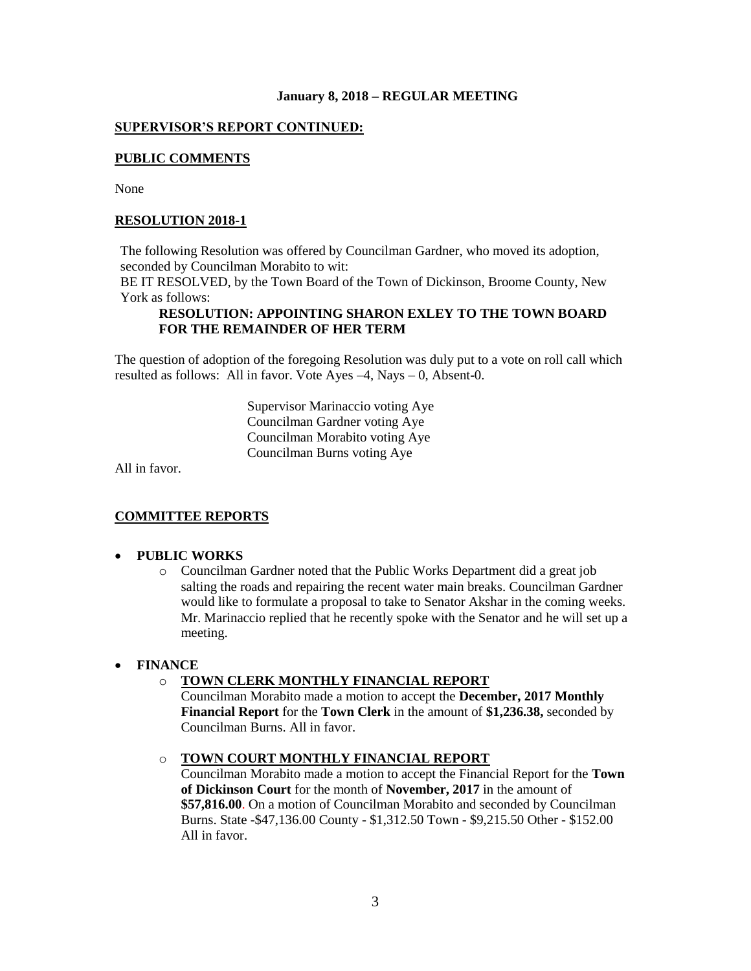## **SUPERVISOR'S REPORT CONTINUED:**

## **PUBLIC COMMENTS**

None

## **RESOLUTION 2018-1**

The following Resolution was offered by Councilman Gardner, who moved its adoption, seconded by Councilman Morabito to wit:

BE IT RESOLVED, by the Town Board of the Town of Dickinson, Broome County, New York as follows:

## **RESOLUTION: APPOINTING SHARON EXLEY TO THE TOWN BOARD FOR THE REMAINDER OF HER TERM**

The question of adoption of the foregoing Resolution was duly put to a vote on roll call which resulted as follows: All in favor. Vote Ayes –4, Nays – 0, Absent-0.

> Supervisor Marinaccio voting Aye Councilman Gardner voting Aye Councilman Morabito voting Aye Councilman Burns voting Aye

All in favor.

### **COMMITTEE REPORTS**

## **PUBLIC WORKS**

o Councilman Gardner noted that the Public Works Department did a great job salting the roads and repairing the recent water main breaks. Councilman Gardner would like to formulate a proposal to take to Senator Akshar in the coming weeks. Mr. Marinaccio replied that he recently spoke with the Senator and he will set up a meeting.

### **FINANCE**

## o **TOWN CLERK MONTHLY FINANCIAL REPORT**

Councilman Morabito made a motion to accept the **December, 2017 Monthly Financial Report** for the **Town Clerk** in the amount of **\$1,236.38,** seconded by Councilman Burns. All in favor.

# o **TOWN COURT MONTHLY FINANCIAL REPORT**

Councilman Morabito made a motion to accept the Financial Report for the **Town of Dickinson Court** for the month of **November, 2017** in the amount of **\$57,816.00**. On a motion of Councilman Morabito and seconded by Councilman Burns. State -\$47,136.00 County - \$1,312.50 Town - \$9,215.50 Other - \$152.00 All in favor.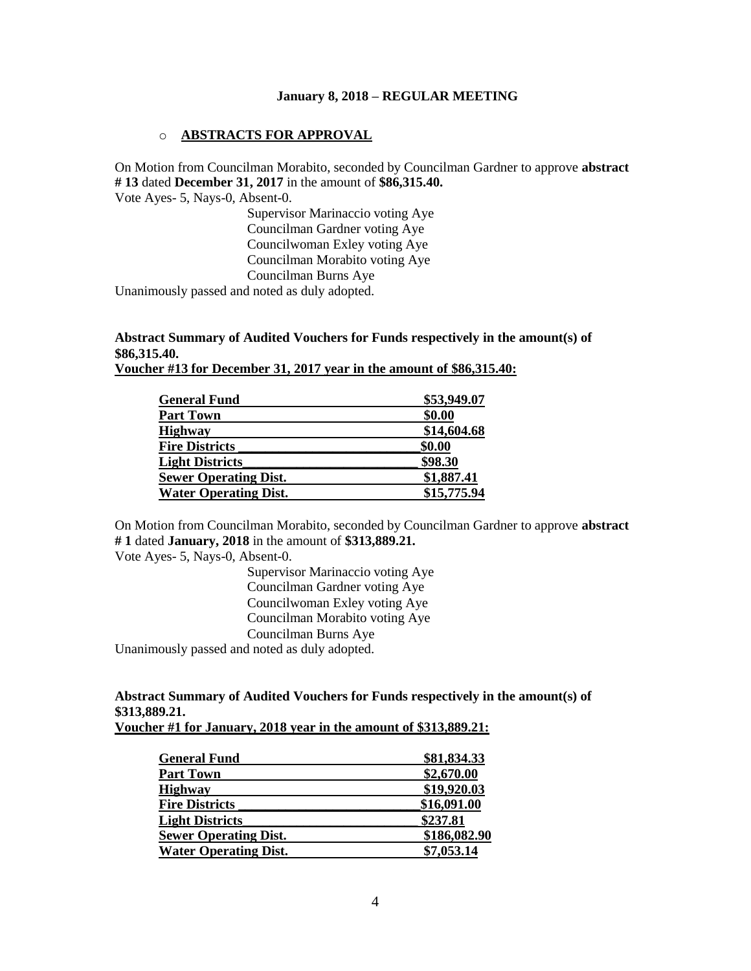### o **ABSTRACTS FOR APPROVAL**

On Motion from Councilman Morabito, seconded by Councilman Gardner to approve **abstract # 13** dated **December 31, 2017** in the amount of **\$86,315.40.**

Vote Ayes- 5, Nays-0, Absent-0.

Supervisor Marinaccio voting Aye Councilman Gardner voting Aye Councilwoman Exley voting Aye Councilman Morabito voting Aye Councilman Burns Aye

Unanimously passed and noted as duly adopted.

# **Abstract Summary of Audited Vouchers for Funds respectively in the amount(s) of \$86,315.40.**

|                     | Voucher #13 for December 31, 2017 year in the amount of \$86,315.40: |
|---------------------|----------------------------------------------------------------------|
|                     |                                                                      |
| <b>General Fund</b> | \$53,949.07                                                          |

| \$53,949.07 |
|-------------|
| \$0.00      |
| \$14,604.68 |
| \$0.00      |
| \$98.30     |
| \$1,887.41  |
| \$15,775.94 |
|             |

On Motion from Councilman Morabito, seconded by Councilman Gardner to approve **abstract # 1** dated **January, 2018** in the amount of **\$313,889.21.**

Vote Ayes- 5, Nays-0, Absent-0.

Supervisor Marinaccio voting Aye Councilman Gardner voting Aye Councilwoman Exley voting Aye Councilman Morabito voting Aye Councilman Burns Aye

Unanimously passed and noted as duly adopted.

# **Abstract Summary of Audited Vouchers for Funds respectively in the amount(s) of \$313,889.21.**

| <b>General Fund</b>          | \$81,834.33  |
|------------------------------|--------------|
| <b>Part Town</b>             | \$2,670.00   |
| <b>Highway</b>               | \$19,920.03  |
| <b>Fire Districts</b>        | \$16,091.00  |
| <b>Light Districts</b>       | \$237.81     |
| <b>Sewer Operating Dist.</b> | \$186,082.90 |
| <b>Water Operating Dist.</b> | \$7,053.14   |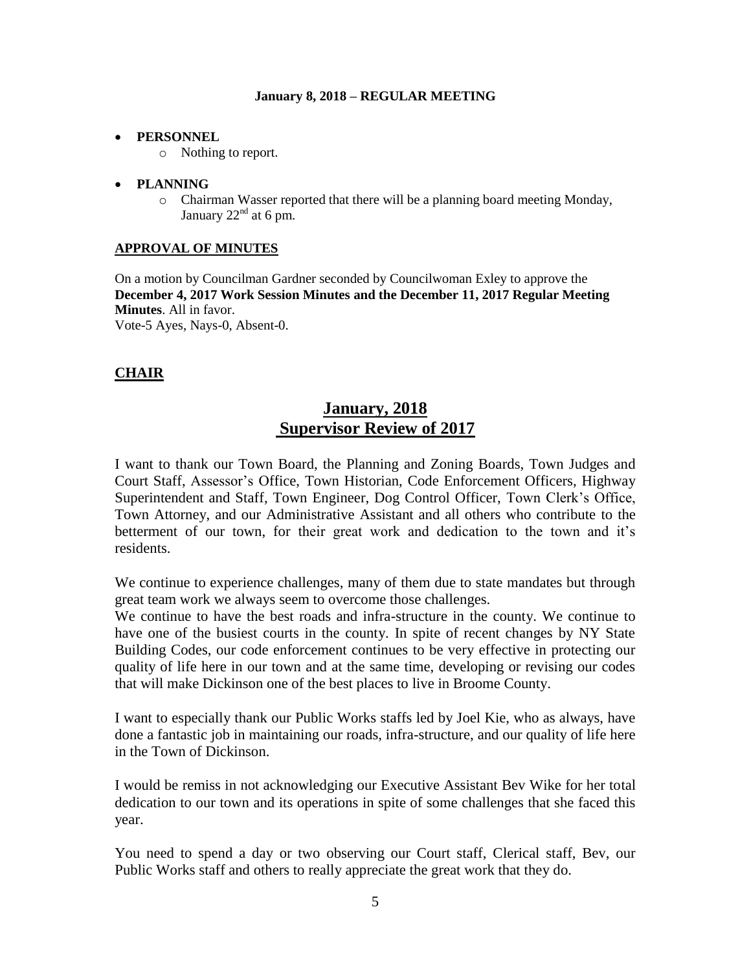## **PERSONNEL**

o Nothing to report.

## **PLANNING**

o Chairman Wasser reported that there will be a planning board meeting Monday, January  $22<sup>nd</sup>$  at 6 pm.

## **APPROVAL OF MINUTES**

On a motion by Councilman Gardner seconded by Councilwoman Exley to approve the **December 4, 2017 Work Session Minutes and the December 11, 2017 Regular Meeting Minutes**. All in favor. Vote-5 Ayes, Nays-0, Absent-0.

# **CHAIR**

# **January, 2018 Supervisor Review of 2017**

I want to thank our Town Board, the Planning and Zoning Boards, Town Judges and Court Staff, Assessor's Office, Town Historian, Code Enforcement Officers, Highway Superintendent and Staff, Town Engineer, Dog Control Officer, Town Clerk's Office, Town Attorney, and our Administrative Assistant and all others who contribute to the betterment of our town, for their great work and dedication to the town and it's residents.

We continue to experience challenges, many of them due to state mandates but through great team work we always seem to overcome those challenges.

We continue to have the best roads and infra-structure in the county. We continue to have one of the busiest courts in the county. In spite of recent changes by NY State Building Codes, our code enforcement continues to be very effective in protecting our quality of life here in our town and at the same time, developing or revising our codes that will make Dickinson one of the best places to live in Broome County.

I want to especially thank our Public Works staffs led by Joel Kie, who as always, have done a fantastic job in maintaining our roads, infra-structure, and our quality of life here in the Town of Dickinson.

I would be remiss in not acknowledging our Executive Assistant Bev Wike for her total dedication to our town and its operations in spite of some challenges that she faced this year.

You need to spend a day or two observing our Court staff, Clerical staff, Bev, our Public Works staff and others to really appreciate the great work that they do.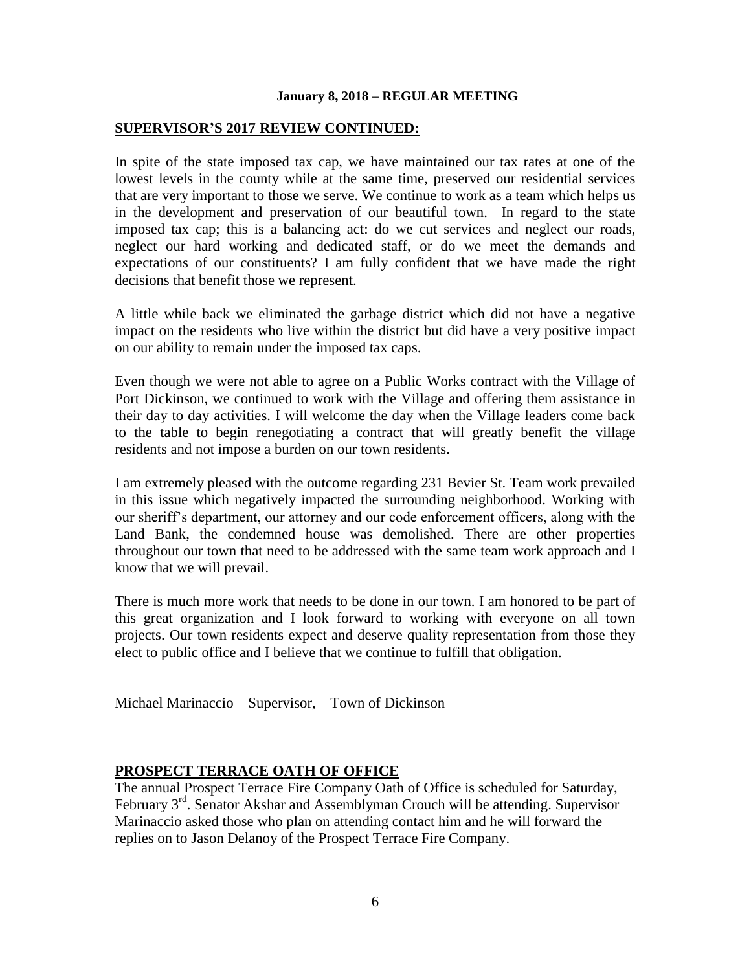## **SUPERVISOR'S 2017 REVIEW CONTINUED:**

In spite of the state imposed tax cap, we have maintained our tax rates at one of the lowest levels in the county while at the same time, preserved our residential services that are very important to those we serve. We continue to work as a team which helps us in the development and preservation of our beautiful town. In regard to the state imposed tax cap; this is a balancing act: do we cut services and neglect our roads, neglect our hard working and dedicated staff, or do we meet the demands and expectations of our constituents? I am fully confident that we have made the right decisions that benefit those we represent.

A little while back we eliminated the garbage district which did not have a negative impact on the residents who live within the district but did have a very positive impact on our ability to remain under the imposed tax caps.

Even though we were not able to agree on a Public Works contract with the Village of Port Dickinson, we continued to work with the Village and offering them assistance in their day to day activities. I will welcome the day when the Village leaders come back to the table to begin renegotiating a contract that will greatly benefit the village residents and not impose a burden on our town residents.

I am extremely pleased with the outcome regarding 231 Bevier St. Team work prevailed in this issue which negatively impacted the surrounding neighborhood. Working with our sheriff's department, our attorney and our code enforcement officers, along with the Land Bank, the condemned house was demolished. There are other properties throughout our town that need to be addressed with the same team work approach and I know that we will prevail.

There is much more work that needs to be done in our town. I am honored to be part of this great organization and I look forward to working with everyone on all town projects. Our town residents expect and deserve quality representation from those they elect to public office and I believe that we continue to fulfill that obligation.

Michael Marinaccio Supervisor, Town of Dickinson

# **PROSPECT TERRACE OATH OF OFFICE**

The annual Prospect Terrace Fire Company Oath of Office is scheduled for Saturday, February 3<sup>rd</sup>. Senator Akshar and Assemblyman Crouch will be attending. Supervisor Marinaccio asked those who plan on attending contact him and he will forward the replies on to Jason Delanoy of the Prospect Terrace Fire Company.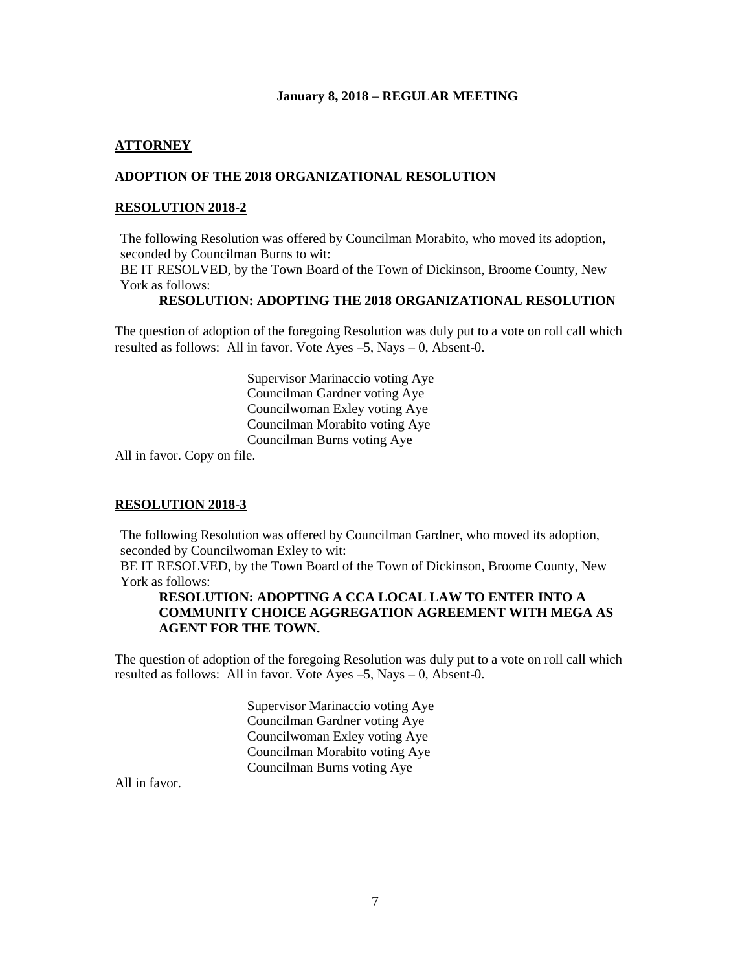## **ATTORNEY**

## **ADOPTION OF THE 2018 ORGANIZATIONAL RESOLUTION**

### **RESOLUTION 2018-2**

The following Resolution was offered by Councilman Morabito, who moved its adoption, seconded by Councilman Burns to wit:

BE IT RESOLVED, by the Town Board of the Town of Dickinson, Broome County, New York as follows:

### **RESOLUTION: ADOPTING THE 2018 ORGANIZATIONAL RESOLUTION**

The question of adoption of the foregoing Resolution was duly put to a vote on roll call which resulted as follows: All in favor. Vote Ayes –5, Nays – 0, Absent-0.

> Supervisor Marinaccio voting Aye Councilman Gardner voting Aye Councilwoman Exley voting Aye Councilman Morabito voting Aye Councilman Burns voting Aye

All in favor. Copy on file.

### **RESOLUTION 2018-3**

The following Resolution was offered by Councilman Gardner, who moved its adoption, seconded by Councilwoman Exley to wit:

BE IT RESOLVED, by the Town Board of the Town of Dickinson, Broome County, New York as follows:

## **RESOLUTION: ADOPTING A CCA LOCAL LAW TO ENTER INTO A COMMUNITY CHOICE AGGREGATION AGREEMENT WITH MEGA AS AGENT FOR THE TOWN.**

The question of adoption of the foregoing Resolution was duly put to a vote on roll call which resulted as follows: All in favor. Vote Ayes –5, Nays – 0, Absent-0.

> Supervisor Marinaccio voting Aye Councilman Gardner voting Aye Councilwoman Exley voting Aye Councilman Morabito voting Aye Councilman Burns voting Aye

All in favor.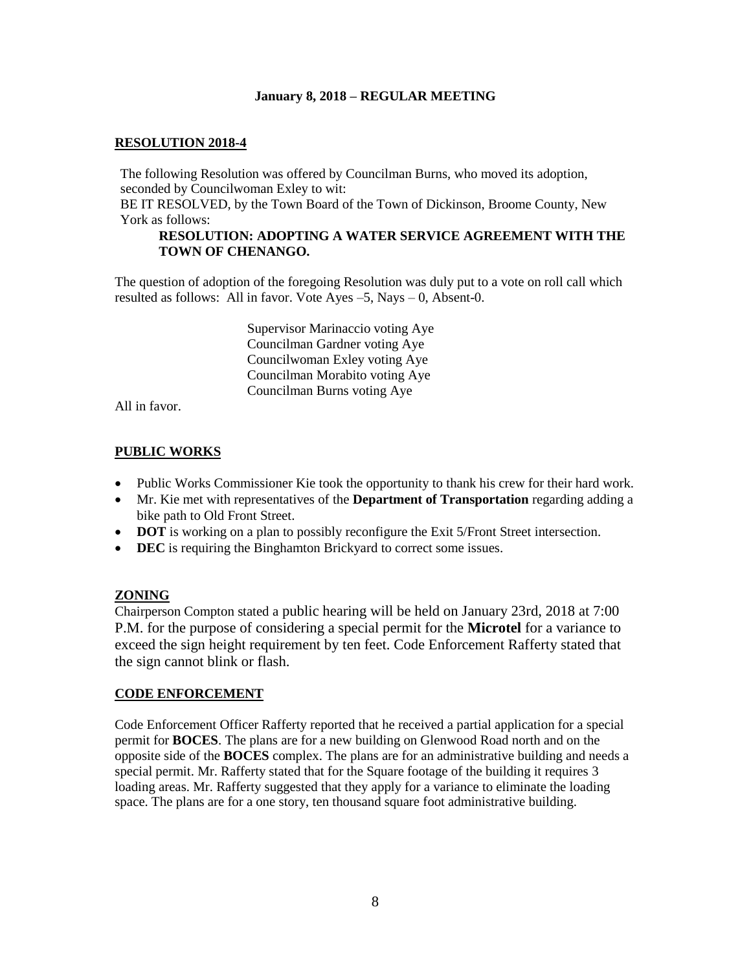## **RESOLUTION 2018-4**

The following Resolution was offered by Councilman Burns, who moved its adoption, seconded by Councilwoman Exley to wit:

BE IT RESOLVED, by the Town Board of the Town of Dickinson, Broome County, New York as follows:

### **RESOLUTION: ADOPTING A WATER SERVICE AGREEMENT WITH THE TOWN OF CHENANGO.**

The question of adoption of the foregoing Resolution was duly put to a vote on roll call which resulted as follows: All in favor. Vote Ayes –5, Nays – 0, Absent-0.

> Supervisor Marinaccio voting Aye Councilman Gardner voting Aye Councilwoman Exley voting Aye Councilman Morabito voting Aye Councilman Burns voting Aye

All in favor.

## **PUBLIC WORKS**

- Public Works Commissioner Kie took the opportunity to thank his crew for their hard work.
- Mr. Kie met with representatives of the **Department of Transportation** regarding adding a bike path to Old Front Street.
- **DOT** is working on a plan to possibly reconfigure the Exit 5/Front Street intersection.
- **DEC** is requiring the Binghamton Brickyard to correct some issues.

## **ZONING**

Chairperson Compton stated a public hearing will be held on January 23rd, 2018 at 7:00 P.M. for the purpose of considering a special permit for the **Microtel** for a variance to exceed the sign height requirement by ten feet. Code Enforcement Rafferty stated that the sign cannot blink or flash.

## **CODE ENFORCEMENT**

Code Enforcement Officer Rafferty reported that he received a partial application for a special permit for **BOCES**. The plans are for a new building on Glenwood Road north and on the opposite side of the **BOCES** complex. The plans are for an administrative building and needs a special permit. Mr. Rafferty stated that for the Square footage of the building it requires 3 loading areas. Mr. Rafferty suggested that they apply for a variance to eliminate the loading space. The plans are for a one story, ten thousand square foot administrative building.